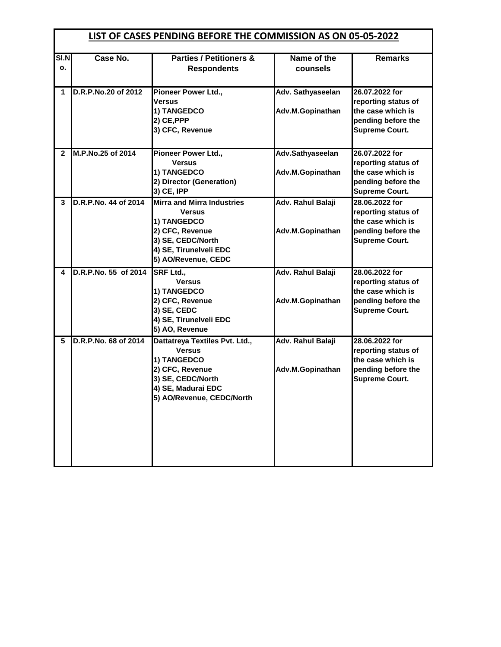|              | LIST OF CASES PENDING BEFORE THE COMMISSION AS ON 05-05-2022 |                                                                                                                                                            |                                       |                                                                                                           |  |
|--------------|--------------------------------------------------------------|------------------------------------------------------------------------------------------------------------------------------------------------------------|---------------------------------------|-----------------------------------------------------------------------------------------------------------|--|
| SI.N<br>о.   | Case No.                                                     | <b>Parties / Petitioners &amp;</b><br><b>Respondents</b>                                                                                                   | Name of the<br>counsels               | <b>Remarks</b>                                                                                            |  |
| 1            | D.R.P.No.20 of 2012                                          | Pioneer Power Ltd.,<br><b>Versus</b><br>1) TANGEDCO<br>2) CE, PPP<br>3) CFC, Revenue                                                                       | Adv. Sathyaseelan<br>Adv.M.Gopinathan | 26.07.2022 for<br>reporting status of<br>the case which is<br>pending before the<br><b>Supreme Court.</b> |  |
| $\mathbf{2}$ | M.P.No.25 of 2014                                            | Pioneer Power Ltd.,<br><b>Versus</b><br>1) TANGEDCO<br>2) Director (Generation)<br>3) CE, IPP                                                              | Adv.Sathyaseelan<br>Adv.M.Gopinathan  | 26.07.2022 for<br>reporting status of<br>the case which is<br>pending before the<br><b>Supreme Court.</b> |  |
| 3            | D.R.P.No. 44 of 2014                                         | <b>Mirra and Mirra Industries</b><br><b>Versus</b><br>1) TANGEDCO<br>2) CFC, Revenue<br>3) SE, CEDC/North<br>4) SE, Tirunelveli EDC<br>5) AO/Revenue, CEDC | Adv. Rahul Balaji<br>Adv.M.Gopinathan | 28.06.2022 for<br>reporting status of<br>the case which is<br>pending before the<br><b>Supreme Court.</b> |  |
| 4            | D.R.P.No. 55 of 2014                                         | <b>SRF Ltd.,</b><br><b>Versus</b><br>1) TANGEDCO<br>2) CFC, Revenue<br>3) SE, CEDC<br>4) SE, Tirunelveli EDC<br>5) AO, Revenue                             | Adv. Rahul Balaji<br>Adv.M.Gopinathan | 28.06.2022 for<br>reporting status of<br>the case which is<br>pending before the<br><b>Supreme Court.</b> |  |
| 5            | D.R.P.No. 68 of 2014                                         | Dattatreya Textiles Pvt. Ltd.,<br><b>Versus</b><br>1) TANGEDCO<br>2) CFC, Revenue<br>3) SE, CEDC/North<br>4) SE, Madurai EDC<br>5) AO/Revenue, CEDC/North  | Adv. Rahul Balaji<br>Adv.M.Gopinathan | 28.06.2022 for<br>reporting status of<br>the case which is<br>pending before the<br><b>Supreme Court.</b> |  |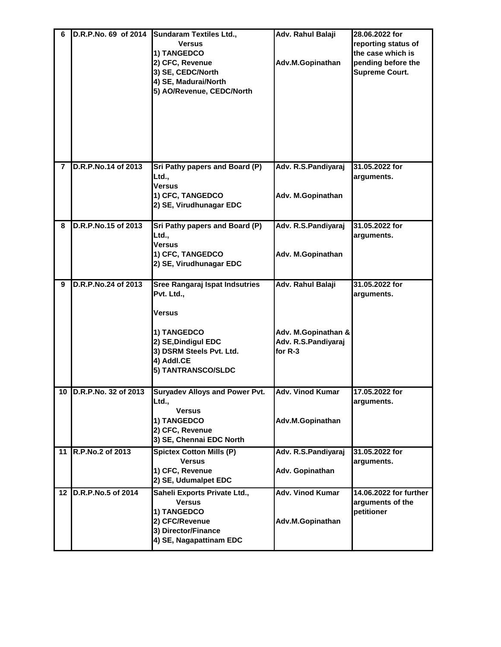| 6 | D.R.P.No. 69 of 2014    | <b>Sundaram Textiles Ltd.,</b><br><b>Versus</b><br>1) TANGEDCO<br>2) CFC, Revenue<br>3) SE, CEDC/North<br>4) SE, Madurai/North<br>5) AO/Revenue, CEDC/North  | Adv. Rahul Balaji<br>Adv.M.Gopinathan                                      | 28.06.2022 for<br>reporting status of<br>the case which is<br>pending before the<br><b>Supreme Court.</b> |
|---|-------------------------|--------------------------------------------------------------------------------------------------------------------------------------------------------------|----------------------------------------------------------------------------|-----------------------------------------------------------------------------------------------------------|
| 7 | D.R.P.No.14 of 2013     | Sri Pathy papers and Board (P)<br>Ltd.,<br><b>Versus</b><br>1) CFC, TANGEDCO<br>2) SE, Virudhunagar EDC                                                      | Adv. R.S.Pandiyaraj<br>Adv. M.Gopinathan                                   | 31.05.2022 for<br>arguments.                                                                              |
| 8 | D.R.P.No.15 of 2013     | Sri Pathy papers and Board (P)<br>Ltd.,<br>Versus<br>1) CFC, TANGEDCO<br>2) SE, Virudhunagar EDC                                                             | Adv. R.S.Pandiyaraj<br>Adv. M.Gopinathan                                   | 31.05.2022 for<br>arguments.                                                                              |
| 9 | D.R.P.No.24 of 2013     | Sree Rangaraj Ispat Indsutries<br>Pvt. Ltd.,<br>Versus<br>1) TANGEDCO<br>2) SE, Dindigul EDC<br>3) DSRM Steels Pvt. Ltd.<br>4) Addl.CE<br>5) TANTRANSCO/SLDC | Adv. Rahul Balaji<br>Adv. M.Gopinathan &<br>Adv. R.S.Pandiyaraj<br>for R-3 | 31.05.2022 for<br>arguments.                                                                              |
|   | 10 D.R.P.No. 32 of 2013 | <b>Suryadev Alloys and Power Pvt.</b><br>Ltd.,<br><b>Versus</b><br>1) TANGEDCO<br>2) CFC, Revenue<br>3) SE, Chennai EDC North                                | <b>Adv. Vinod Kumar</b><br>Adv.M.Gopinathan                                | 17.05.2022 for<br>arguments.                                                                              |
|   | 11 R.P.No.2 of 2013     | <b>Spictex Cotton Mills (P)</b><br><b>Versus</b><br>1) CFC, Revenue<br>2) SE, Udumalpet EDC                                                                  | Adv. R.S.Pandiyaraj<br>Adv. Gopinathan                                     | 31.05.2022 for<br>arguments.                                                                              |
|   | 12 D.R.P.No.5 of 2014   | Saheli Exports Private Ltd.,<br><b>Versus</b><br>1) TANGEDCO<br>2) CFC/Revenue<br>3) Director/Finance<br>4) SE, Nagapattinam EDC                             | <b>Adv. Vinod Kumar</b><br>Adv.M.Gopinathan                                | 14.06.2022 for further<br>arguments of the<br>petitioner                                                  |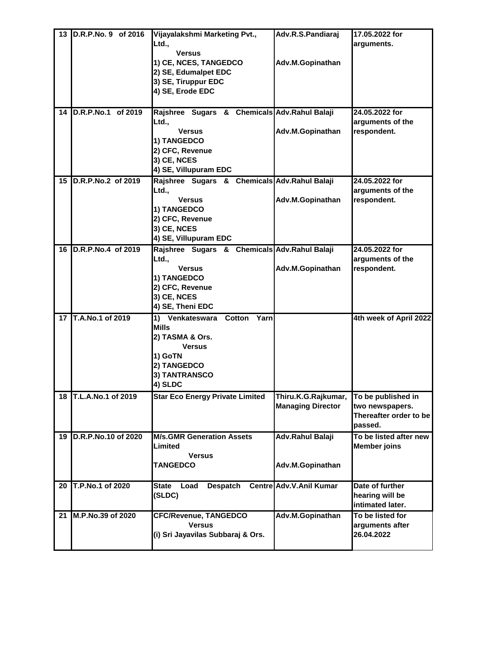| 13 | D.R.P.No. 9 of 2016   | Vijayalakshmi Marketing Pvt.,                 | Adv.R.S.Pandiaraj        | 17.05.2022 for         |
|----|-----------------------|-----------------------------------------------|--------------------------|------------------------|
|    |                       | Ltd.,                                         |                          | arguments.             |
|    |                       | <b>Versus</b>                                 |                          |                        |
|    |                       | 1) CE, NCES, TANGEDCO                         | Adv.M.Gopinathan         |                        |
|    |                       | 2) SE, Edumalpet EDC                          |                          |                        |
|    |                       |                                               |                          |                        |
|    |                       | 3) SE, Tiruppur EDC                           |                          |                        |
|    |                       | 4) SE, Erode EDC                              |                          |                        |
|    | 14 D.R.P.No.1 of 2019 |                                               |                          | 24.05.2022 for         |
|    |                       | Rajshree Sugars & Chemicals Adv. Rahul Balaji |                          |                        |
|    |                       | Ltd.,                                         |                          | arguments of the       |
|    |                       | <b>Versus</b>                                 | Adv.M.Gopinathan         | respondent.            |
|    |                       | 1) TANGEDCO                                   |                          |                        |
|    |                       | 2) CFC, Revenue                               |                          |                        |
|    |                       | 3) CE, NCES                                   |                          |                        |
|    |                       | 4) SE, Villupuram EDC                         |                          |                        |
| 15 | D.R.P.No.2 of 2019    | Rajshree Sugars & Chemicals Adv. Rahul Balaji |                          | 24.05.2022 for         |
|    |                       | Ltd.,                                         |                          | arguments of the       |
|    |                       | <b>Versus</b>                                 | Adv.M.Gopinathan         | respondent.            |
|    |                       | 1) TANGEDCO                                   |                          |                        |
|    |                       | 2) CFC, Revenue                               |                          |                        |
|    |                       | 3) CE, NCES                                   |                          |                        |
|    |                       | 4) SE, Villupuram EDC                         |                          |                        |
| 16 | D.R.P.No.4 of 2019    | Rajshree Sugars & Chemicals Adv. Rahul Balaji |                          | 24.05.2022 for         |
|    |                       | Ltd.,                                         |                          | arguments of the       |
|    |                       | <b>Versus</b>                                 | Adv.M.Gopinathan         | respondent.            |
|    |                       | 1) TANGEDCO                                   |                          |                        |
|    |                       | 2) CFC, Revenue                               |                          |                        |
|    |                       | 3) CE, NCES                                   |                          |                        |
|    |                       | 4) SE, Theni EDC                              |                          |                        |
| 17 | T.A.No.1 of 2019      | 1) Venkateswara<br>Cotton Yarn                |                          | 4th week of April 2022 |
|    |                       | <b>Mills</b>                                  |                          |                        |
|    |                       | 2) TASMA & Ors.                               |                          |                        |
|    |                       | <b>Versus</b>                                 |                          |                        |
|    |                       | 1) GoTN                                       |                          |                        |
|    |                       | 2) TANGEDCO                                   |                          |                        |
|    |                       | 3) TANTRANSCO                                 |                          |                        |
|    |                       | 4) SLDC                                       |                          |                        |
|    | 18 T.L.A.No.1 of 2019 | <b>Star Eco Energy Private Limited</b>        | Thiru.K.G.Rajkumar,      | To be published in     |
|    |                       |                                               | <b>Managing Director</b> | two newspapers.        |
|    |                       |                                               |                          | Thereafter order to be |
|    |                       |                                               |                          | passed.                |
| 19 | D.R.P.No.10 of 2020   | <b>M/s.GMR Generation Assets</b>              | Adv.Rahul Balaji         | To be listed after new |
|    |                       | Limited                                       |                          | <b>Member joins</b>    |
|    |                       | <b>Versus</b>                                 |                          |                        |
|    |                       | <b>TANGEDCO</b>                               | Adv.M.Gopinathan         |                        |
|    |                       |                                               |                          |                        |
| 20 | T.P.No.1 of 2020      | State<br>Load<br><b>Despatch</b>              | Centre Adv.V.Anil Kumar  | Date of further        |
|    |                       | (SLDC)                                        |                          | hearing will be        |
|    |                       |                                               |                          | intimated later.       |
| 21 | M.P.No.39 of 2020     | <b>CFC/Revenue, TANGEDCO</b>                  | Adv.M.Gopinathan         | To be listed for       |
|    |                       | <b>Versus</b>                                 |                          | arguments after        |
|    |                       | (i) Sri Jayavilas Subbaraj & Ors.             |                          | 26.04.2022             |
|    |                       |                                               |                          |                        |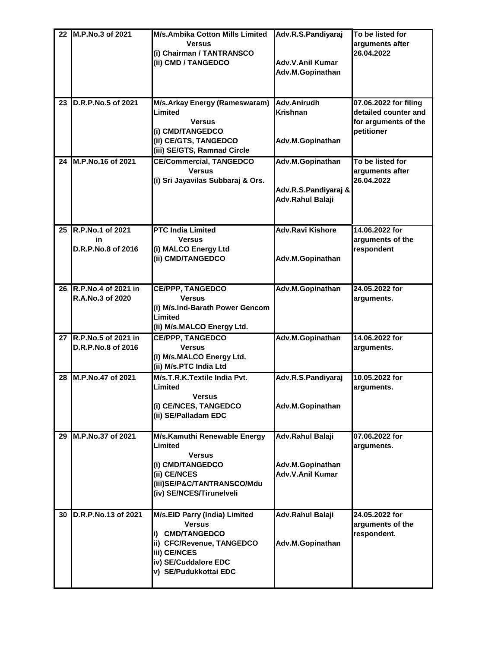|    | 22 M.P.No.3 of 2021                          | <b>M/s.Ambika Cotton Mills Limited</b><br><b>Versus</b><br>(i) Chairman / TANTRANSCO<br>(ii) CMD / TANGEDCO                                                     | Adv.R.S.Pandiyaraj<br>Adv.V.Anil Kumar<br>Adv.M.Gopinathan      | To be listed for<br>arguments after<br>26.04.2022                                   |
|----|----------------------------------------------|-----------------------------------------------------------------------------------------------------------------------------------------------------------------|-----------------------------------------------------------------|-------------------------------------------------------------------------------------|
| 23 | D.R.P.No.5 of 2021                           | M/s.Arkay Energy (Rameswaram)<br>Limited<br><b>Versus</b><br>(i) CMD/TANGEDCO<br>(ii) CE/GTS, TANGEDCO<br>(iii) SE/GTS, Ramnad Circle                           | Adv.Anirudh<br><b>Krishnan</b><br>Adv.M.Gopinathan              | 07.06.2022 for filing<br>detailed counter and<br>for arguments of the<br>petitioner |
| 24 | M.P.No.16 of 2021                            | <b>CE/Commercial, TANGEDCO</b><br><b>Versus</b><br>(i) Sri Jayavilas Subbaraj & Ors.                                                                            | Adv.M.Gopinathan<br>Adv.R.S.Pandiyaraj &<br>Adv.Rahul Balaji    | To be listed for<br>arguments after<br>26.04.2022                                   |
| 25 | R.P.No.1 of 2021<br>in<br>D.R.P.No.8 of 2016 | <b>PTC India Limited</b><br><b>Versus</b><br>(i) MALCO Energy Ltd<br>(ii) CMD/TANGEDCO                                                                          | <b>Adv.Ravi Kishore</b><br>Adv.M.Gopinathan                     | 14.06.2022 for<br>arguments of the<br>respondent                                    |
| 26 | R.P.No.4 of 2021 in<br>R.A.No.3 of 2020      | <b>CE/PPP, TANGEDCO</b><br><b>Versus</b><br>(i) M/s.Ind-Barath Power Gencom<br>Limited<br>(ii) M/s.MALCO Energy Ltd.                                            | Adv.M.Gopinathan                                                | 24.05.2022 for<br>arguments.                                                        |
| 27 | R.P.No.5 of 2021 in<br>D.R.P.No.8 of 2016    | <b>CE/PPP, TANGEDCO</b><br><b>Versus</b><br>(i) M/s.MALCO Energy Ltd.<br>(ii) M/s.PTC India Ltd                                                                 | Adv.M.Gopinathan                                                | 14.06.2022 for<br>arguments.                                                        |
| 28 | M.P.No.47 of 2021                            | M/s.T.R.K.Textile India Pvt.<br>Limited<br><b>Versus</b><br>(i) CE/NCES, TANGEDCO<br>(ii) SE/Palladam EDC                                                       | Adv.R.S.Pandiyaraj<br>Adv.M.Gopinathan                          | 10.05.2022 for<br>arguments.                                                        |
| 29 | M.P.No.37 of 2021                            | M/s.Kamuthi Renewable Energy<br>Limited<br><b>Versus</b><br>(i) CMD/TANGEDCO<br>(ii) CE/NCES<br>(iii)SE/P&C/TANTRANSCO/Mdu<br>(iv) SE/NCES/Tirunelveli          | Adv.Rahul Balaji<br>Adv.M.Gopinathan<br><b>Adv.V.Anil Kumar</b> | 07.06.2022 for<br>arguments.                                                        |
| 30 | D.R.P.No.13 of 2021                          | M/s.EID Parry (India) Limited<br><b>Versus</b><br>i) CMD/TANGEDCO<br>ii) CFC/Revenue, TANGEDCO<br>iii) CE/NCES<br>iv) SE/Cuddalore EDC<br>v) SE/Pudukkottai EDC | Adv.Rahul Balaji<br>Adv.M.Gopinathan                            | 24.05.2022 for<br>arguments of the<br>respondent.                                   |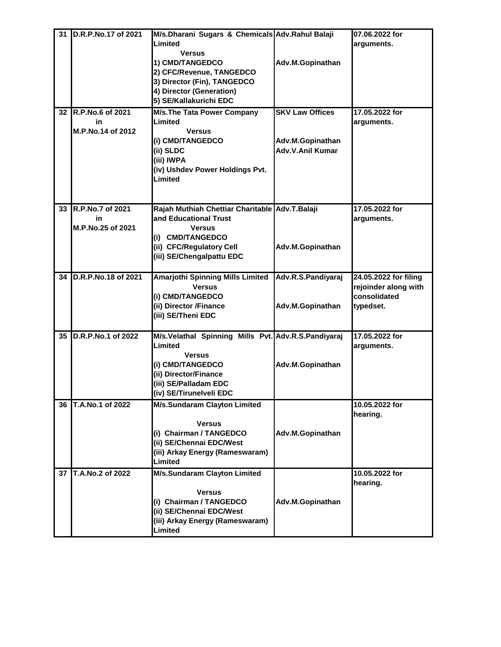| 31 | D.R.P.No.17 of 2021     | M/s.Dharani Sugars & Chemicals Adv.Rahul Balaji                         |                        | 07.06.2022 for               |
|----|-------------------------|-------------------------------------------------------------------------|------------------------|------------------------------|
|    |                         | Limited                                                                 |                        | arguments.                   |
|    |                         | <b>Versus</b>                                                           |                        |                              |
|    |                         | 1) CMD/TANGEDCO                                                         | Adv.M.Gopinathan       |                              |
|    |                         | 2) CFC/Revenue, TANGEDCO                                                |                        |                              |
|    |                         | 3) Director (Fin), TANGEDCO                                             |                        |                              |
|    |                         | 4) Director (Generation)                                                |                        |                              |
|    |                         | 5) SE/Kallakurichi EDC                                                  |                        |                              |
| 32 | <b>R.P.No.6 of 2021</b> | <b>M/s. The Tata Power Company</b>                                      | <b>SKV Law Offices</b> | 17.05.2022 for               |
|    | in                      | Limited                                                                 |                        | arguments.                   |
|    | M.P.No.14 of 2012       | <b>Versus</b>                                                           |                        |                              |
|    |                         | (i) CMD/TANGEDCO                                                        | Adv.M.Gopinathan       |                              |
|    |                         | (ii) SLDC                                                               | Adv.V.Anil Kumar       |                              |
|    |                         | (iii) IWPA                                                              |                        |                              |
|    |                         | (iv) Ushdev Power Holdings Pvt.                                         |                        |                              |
|    |                         | Limited                                                                 |                        |                              |
|    |                         |                                                                         |                        |                              |
|    |                         |                                                                         |                        |                              |
| 33 | R.P.No.7 of 2021<br>in  | Rajah Muthiah Chettiar Charitable Adv.T.Balaji<br>and Educational Trust |                        | 17.05.2022 for<br>arguments. |
|    | M.P.No.25 of 2021       | <b>Versus</b>                                                           |                        |                              |
|    |                         | (i) CMD/TANGEDCO                                                        |                        |                              |
|    |                         | (ii) CFC/Regulatory Cell                                                | Adv.M.Gopinathan       |                              |
|    |                         | (iii) SE/Chengalpattu EDC                                               |                        |                              |
|    |                         |                                                                         |                        |                              |
| 34 | D.R.P.No.18 of 2021     | <b>Amarjothi Spinning Mills Limited</b>                                 | Adv.R.S.Pandiyaraj     | 24.05.2022 for filing        |
|    |                         | <b>Versus</b>                                                           |                        | rejoinder along with         |
|    |                         | (i) CMD/TANGEDCO                                                        |                        | consolidated                 |
|    |                         | (ii) Director /Finance                                                  | Adv.M.Gopinathan       | typedset.                    |
|    |                         | (iii) SE/Theni EDC                                                      |                        |                              |
|    |                         |                                                                         |                        |                              |
| 35 | D.R.P.No.1 of 2022      | M/s.Velathal Spinning Mills Pvt. Adv.R.S.Pandiyaraj                     |                        | 17.05.2022 for               |
|    |                         | Limited                                                                 |                        | arguments.                   |
|    |                         | <b>Versus</b>                                                           |                        |                              |
|    |                         | (i) CMD/TANGEDCO                                                        | Adv.M.Gopinathan       |                              |
|    |                         | (ii) Director/Finance                                                   |                        |                              |
|    |                         | (iii) SE/Palladam EDC                                                   |                        |                              |
|    |                         | (iv) SE/Tirunelveli EDC                                                 |                        |                              |
| 36 | T.A.No.1 of 2022        | M/s.Sundaram Clayton Limited                                            |                        | 10.05.2022 for               |
|    |                         |                                                                         |                        | hearing.                     |
|    |                         | <b>Versus</b>                                                           |                        |                              |
|    |                         | (i) Chairman / TANGEDCO                                                 | Adv.M.Gopinathan       |                              |
|    |                         | (ii) SE/Chennai EDC/West<br>(iii) Arkay Energy (Rameswaram)             |                        |                              |
|    |                         | Limited                                                                 |                        |                              |
| 37 | T.A.No.2 of 2022        | <b>M/s.Sundaram Clayton Limited</b>                                     |                        | 10.05.2022 for               |
|    |                         |                                                                         |                        | hearing.                     |
|    |                         | <b>Versus</b>                                                           |                        |                              |
|    |                         | (i) Chairman / TANGEDCO                                                 | Adv.M.Gopinathan       |                              |
|    |                         | (ii) SE/Chennai EDC/West                                                |                        |                              |
|    |                         | (iii) Arkay Energy (Rameswaram)                                         |                        |                              |
|    |                         | Limited                                                                 |                        |                              |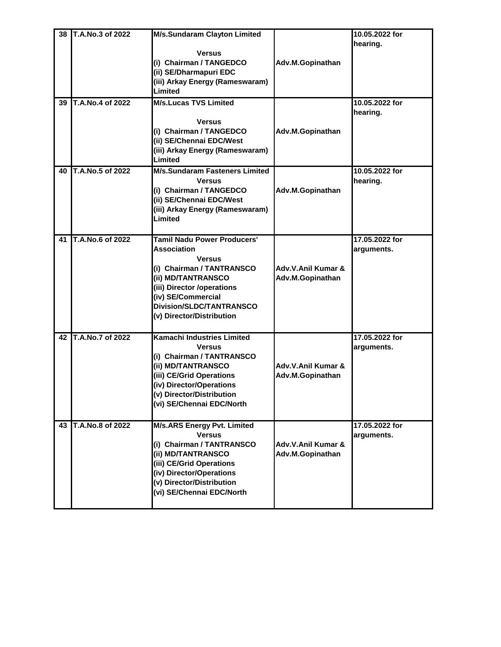| 38<br>39 | T.A.No.3 of 2022<br>T.A.No.4 of 2022 | <b>M/s.Sundaram Clayton Limited</b><br><b>Versus</b><br>(i) Chairman / TANGEDCO<br>(ii) SE/Dharmapuri EDC<br>(iii) Arkay Energy (Rameswaram)<br>Limited<br><b>M/s.Lucas TVS Limited</b>                                                   | Adv.M.Gopinathan                       | 10.05.2022 for<br>hearing.<br>10.05.2022 for |
|----------|--------------------------------------|-------------------------------------------------------------------------------------------------------------------------------------------------------------------------------------------------------------------------------------------|----------------------------------------|----------------------------------------------|
|          |                                      | <b>Versus</b><br>(i) Chairman / TANGEDCO<br>(ii) SE/Chennai EDC/West<br>(iii) Arkay Energy (Rameswaram)<br>Limited                                                                                                                        | Adv.M.Gopinathan                       | hearing.                                     |
| 40       | T.A.No.5 of 2022                     | <b>M/s.Sundaram Fasteners Limited</b><br><b>Versus</b><br>(i) Chairman / TANGEDCO<br>(ii) SE/Chennai EDC/West<br>(iii) Arkay Energy (Rameswaram)<br>Limited                                                                               | Adv.M.Gopinathan                       | 10.05.2022 for<br>hearing.                   |
| 41       | T.A.No.6 of 2022                     | <b>Tamil Nadu Power Producers'</b><br><b>Association</b><br><b>Versus</b><br>(i) Chairman / TANTRANSCO<br>(ii) MD/TANTRANSCO<br>(iii) Director /operations<br>(iv) SE/Commercial<br>Division/SLDC/TANTRANSCO<br>(v) Director/Distribution | Adv.V.Anil Kumar &<br>Adv.M.Gopinathan | 17.05.2022 for<br>arguments.                 |
| 42       | T.A.No.7 of 2022                     | Kamachi Industries Limited<br><b>Versus</b><br>(i) Chairman / TANTRANSCO<br>(ii) MD/TANTRANSCO<br>(iii) CE/Grid Operations<br>(iv) Director/Operations<br>(v) Director/Distribution<br>(vi) SE/Chennai EDC/North                          | Adv.V.Anil Kumar &<br>Adv.M.Gopinathan | 17.05.2022 for<br>arguments.                 |
| 43       | T.A.No.8 of 2022                     | <b>M/s.ARS Energy Pvt. Limited</b><br><b>Versus</b><br>(i) Chairman / TANTRANSCO<br>(ii) MD/TANTRANSCO<br>(iii) CE/Grid Operations<br>(iv) Director/Operations<br>(v) Director/Distribution<br>(vi) SE/Chennai EDC/North                  | Adv.V.Anil Kumar &<br>Adv.M.Gopinathan | 17.05.2022 for<br>arguments.                 |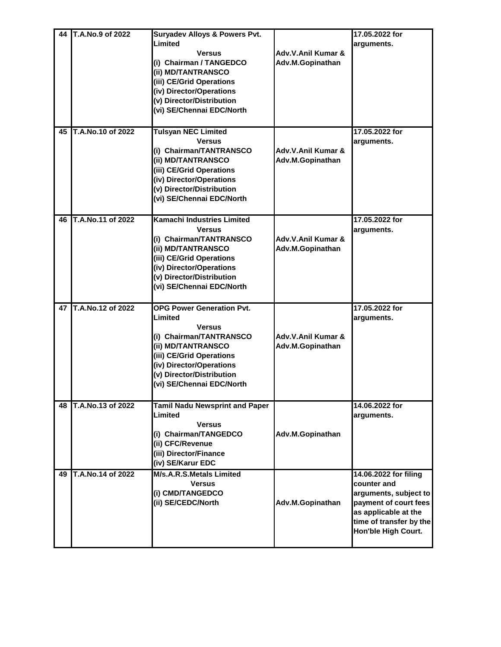| 44 | T.A.No.9 of 2022  | <b>Suryadev Alloys &amp; Powers Pvt.</b> |                    | 17.05.2022 for          |
|----|-------------------|------------------------------------------|--------------------|-------------------------|
|    |                   | Limited                                  |                    | arguments.              |
|    |                   | <b>Versus</b>                            | Adv.V.Anil Kumar & |                         |
|    |                   | (i) Chairman / TANGEDCO                  | Adv.M.Gopinathan   |                         |
|    |                   | (ii) MD/TANTRANSCO                       |                    |                         |
|    |                   | (iii) CE/Grid Operations                 |                    |                         |
|    |                   | (iv) Director/Operations                 |                    |                         |
|    |                   | (v) Director/Distribution                |                    |                         |
|    |                   | (vi) SE/Chennai EDC/North                |                    |                         |
|    |                   |                                          |                    |                         |
| 45 | T.A.No.10 of 2022 | <b>Tulsyan NEC Limited</b>               |                    | 17.05.2022 for          |
|    |                   | <b>Versus</b>                            |                    | arguments.              |
|    |                   | (i) Chairman/TANTRANSCO                  | Adv.V.Anil Kumar & |                         |
|    |                   | (ii) MD/TANTRANSCO                       | Adv.M.Gopinathan   |                         |
|    |                   | (iii) CE/Grid Operations                 |                    |                         |
|    |                   | (iv) Director/Operations                 |                    |                         |
|    |                   | (v) Director/Distribution                |                    |                         |
|    |                   | (vi) SE/Chennai EDC/North                |                    |                         |
|    |                   |                                          |                    |                         |
| 46 | T.A.No.11 of 2022 | <b>Kamachi Industries Limited</b>        |                    | 17.05.2022 for          |
|    |                   | <b>Versus</b>                            |                    | arguments.              |
|    |                   | (i) Chairman/TANTRANSCO                  | Adv.V.Anil Kumar & |                         |
|    |                   | (ii) MD/TANTRANSCO                       | Adv.M.Gopinathan   |                         |
|    |                   | (iii) CE/Grid Operations                 |                    |                         |
|    |                   | (iv) Director/Operations                 |                    |                         |
|    |                   | (v) Director/Distribution                |                    |                         |
|    |                   | (vi) SE/Chennai EDC/North                |                    |                         |
|    |                   |                                          |                    |                         |
| 47 | T.A.No.12 of 2022 | <b>OPG Power Generation Pvt.</b>         |                    | 17.05.2022 for          |
|    |                   | Limited                                  |                    | arguments.              |
|    |                   | <b>Versus</b>                            |                    |                         |
|    |                   | (i) Chairman/TANTRANSCO                  | Adv.V.Anil Kumar & |                         |
|    |                   | (ii) MD/TANTRANSCO                       | Adv.M.Gopinathan   |                         |
|    |                   | (iii) CE/Grid Operations                 |                    |                         |
|    |                   | (iv) Director/Operations                 |                    |                         |
|    |                   | (v) Director/Distribution                |                    |                         |
|    |                   | (vi) SE/Chennai EDC/North                |                    |                         |
|    |                   |                                          |                    |                         |
| 48 | T.A.No.13 of 2022 | <b>Tamil Nadu Newsprint and Paper</b>    |                    | 14.06.2022 for          |
|    |                   | Limited                                  |                    | arguments.              |
|    |                   | <b>Versus</b>                            |                    |                         |
|    |                   | (i) Chairman/TANGEDCO                    | Adv.M.Gopinathan   |                         |
|    |                   | (ii) CFC/Revenue                         |                    |                         |
|    |                   | (iii) Director/Finance                   |                    |                         |
|    |                   | (iv) SE/Karur EDC                        |                    |                         |
| 49 | T.A.No.14 of 2022 | M/s.A.R.S.Metals Limited                 |                    | 14.06.2022 for filing   |
|    |                   | <b>Versus</b>                            |                    | counter and             |
|    |                   | (i) CMD/TANGEDCO                         |                    | arguments, subject to   |
|    |                   | (ii) SE/CEDC/North                       | Adv.M.Gopinathan   | payment of court fees   |
|    |                   |                                          |                    | as applicable at the    |
|    |                   |                                          |                    | time of transfer by the |
|    |                   |                                          |                    | Hon'ble High Court.     |
|    |                   |                                          |                    |                         |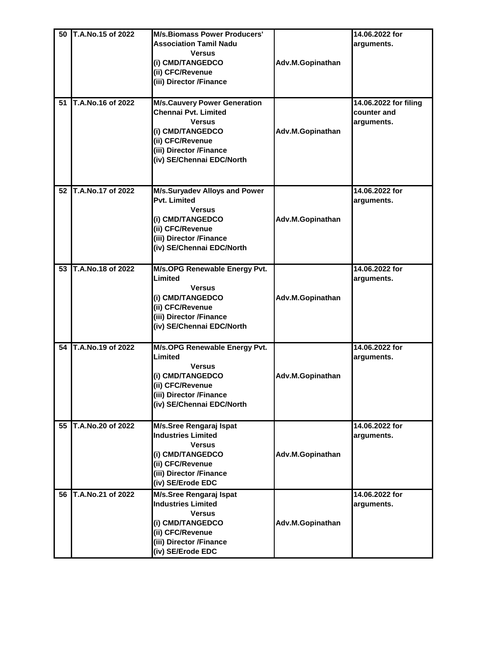| 50 | T.A.No.15 of 2022 | <b>M/s.Biomass Power Producers'</b> |                  | 14.06.2022 for        |
|----|-------------------|-------------------------------------|------------------|-----------------------|
|    |                   | <b>Association Tamil Nadu</b>       |                  | arguments.            |
|    |                   | <b>Versus</b>                       |                  |                       |
|    |                   |                                     |                  |                       |
|    |                   | (i) CMD/TANGEDCO                    | Adv.M.Gopinathan |                       |
|    |                   | (ii) CFC/Revenue                    |                  |                       |
|    |                   | (iii) Director /Finance             |                  |                       |
|    |                   |                                     |                  |                       |
| 51 | T.A.No.16 of 2022 | <b>M/s.Cauvery Power Generation</b> |                  | 14.06.2022 for filing |
|    |                   | Chennai Pvt. Limited                |                  | counter and           |
|    |                   | <b>Versus</b>                       |                  | arguments.            |
|    |                   | (i) CMD/TANGEDCO                    | Adv.M.Gopinathan |                       |
|    |                   | (ii) CFC/Revenue                    |                  |                       |
|    |                   |                                     |                  |                       |
|    |                   | (iii) Director /Finance             |                  |                       |
|    |                   | (iv) SE/Chennai EDC/North           |                  |                       |
|    |                   |                                     |                  |                       |
|    |                   |                                     |                  |                       |
| 52 | T.A.No.17 of 2022 | M/s.Suryadev Alloys and Power       |                  | 14.06.2022 for        |
|    |                   | Pvt. Limited                        |                  | arguments.            |
|    |                   | <b>Versus</b>                       |                  |                       |
|    |                   | (i) CMD/TANGEDCO                    | Adv.M.Gopinathan |                       |
|    |                   | (ii) CFC/Revenue                    |                  |                       |
|    |                   | (iii) Director /Finance             |                  |                       |
|    |                   | (iv) SE/Chennai EDC/North           |                  |                       |
|    |                   |                                     |                  |                       |
| 53 | T.A.No.18 of 2022 | M/s.OPG Renewable Energy Pvt.       |                  | 14.06.2022 for        |
|    |                   | Limited                             |                  |                       |
|    |                   |                                     |                  | arguments.            |
|    |                   | <b>Versus</b>                       |                  |                       |
|    |                   | (i) CMD/TANGEDCO                    | Adv.M.Gopinathan |                       |
|    |                   | (ii) CFC/Revenue                    |                  |                       |
|    |                   | (iii) Director /Finance             |                  |                       |
|    |                   | (iv) SE/Chennai EDC/North           |                  |                       |
|    |                   |                                     |                  |                       |
| 54 | T.A.No.19 of 2022 | M/s.OPG Renewable Energy Pvt.       |                  | 14.06.2022 for        |
|    |                   | Limited                             |                  | arguments.            |
|    |                   | <b>Versus</b>                       |                  |                       |
|    |                   | (i) CMD/TANGEDCO                    | Adv.M.Gopinathan |                       |
|    |                   | (ii) CFC/Revenue                    |                  |                       |
|    |                   | (iii) Director /Finance             |                  |                       |
|    |                   | (iv) SE/Chennai EDC/North           |                  |                       |
|    |                   |                                     |                  |                       |
| 55 | T.A.No.20 of 2022 | <b>M/s.Sree Rengaraj Ispat</b>      |                  | 14.06.2022 for        |
|    |                   | <b>Industries Limited</b>           |                  | arguments.            |
|    |                   | <b>Versus</b>                       |                  |                       |
|    |                   | (i) CMD/TANGEDCO                    | Adv.M.Gopinathan |                       |
|    |                   | (ii) CFC/Revenue                    |                  |                       |
|    |                   | (iii) Director /Finance             |                  |                       |
|    |                   | (iv) SE/Erode EDC                   |                  |                       |
|    |                   |                                     |                  |                       |
| 56 | T.A.No.21 of 2022 | M/s.Sree Rengaraj Ispat             |                  | 14.06.2022 for        |
|    |                   | <b>Industries Limited</b>           |                  | arguments.            |
|    |                   | <b>Versus</b>                       |                  |                       |
|    |                   | (i) CMD/TANGEDCO                    | Adv.M.Gopinathan |                       |
|    |                   | (ii) CFC/Revenue                    |                  |                       |
|    |                   | (iii) Director /Finance             |                  |                       |
|    |                   | (iv) SE/Erode EDC                   |                  |                       |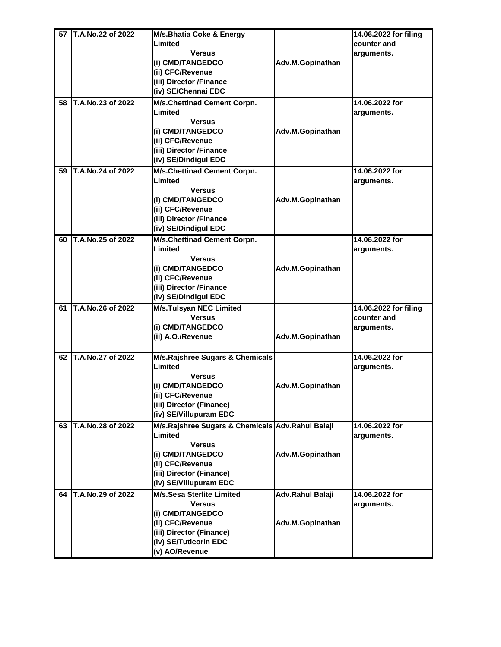| 57 | T.A.No.22 of 2022 |                                                  |                  | 14.06.2022 for filing |
|----|-------------------|--------------------------------------------------|------------------|-----------------------|
|    |                   | M/s.Bhatia Coke & Energy<br>Limited              |                  |                       |
|    |                   |                                                  |                  | counter and           |
|    |                   | <b>Versus</b>                                    |                  | arguments.            |
|    |                   | (i) CMD/TANGEDCO                                 | Adv.M.Gopinathan |                       |
|    |                   | (ii) CFC/Revenue                                 |                  |                       |
|    |                   | (iii) Director /Finance                          |                  |                       |
|    |                   | (iv) SE/Chennai EDC                              |                  |                       |
| 58 | T.A.No.23 of 2022 | M/s.Chettinad Cement Corpn.                      |                  | 14.06.2022 for        |
|    |                   | Limited                                          |                  | arguments.            |
|    |                   | Versus                                           |                  |                       |
|    |                   | (i) CMD/TANGEDCO                                 | Adv.M.Gopinathan |                       |
|    |                   | (ii) CFC/Revenue                                 |                  |                       |
|    |                   | (iii) Director /Finance                          |                  |                       |
|    |                   | (iv) SE/Dindigul EDC                             |                  |                       |
|    |                   |                                                  |                  |                       |
| 59 | T.A.No.24 of 2022 | M/s.Chettinad Cement Corpn.                      |                  | 14.06.2022 for        |
|    |                   | Limited                                          |                  | arguments.            |
|    |                   | <b>Versus</b>                                    |                  |                       |
|    |                   | (i) CMD/TANGEDCO                                 | Adv.M.Gopinathan |                       |
|    |                   | (ii) CFC/Revenue                                 |                  |                       |
|    |                   | (iii) Director /Finance                          |                  |                       |
|    |                   | (iv) SE/Dindigul EDC                             |                  |                       |
| 60 | T.A.No.25 of 2022 | <b>M/s.Chettinad Cement Corpn.</b>               |                  | 14.06.2022 for        |
|    |                   | Limited                                          |                  | arguments.            |
|    |                   | <b>Versus</b>                                    |                  |                       |
|    |                   | (i) CMD/TANGEDCO                                 | Adv.M.Gopinathan |                       |
|    |                   | (ii) CFC/Revenue                                 |                  |                       |
|    |                   |                                                  |                  |                       |
|    |                   | (iii) Director /Finance                          |                  |                       |
|    |                   | (iv) SE/Dindigul EDC                             |                  |                       |
| 61 | T.A.No.26 of 2022 | <b>M/s.Tulsyan NEC Limited</b>                   |                  | 14.06.2022 for filing |
|    |                   | <b>Versus</b>                                    |                  | counter and           |
|    |                   | (i) CMD/TANGEDCO                                 |                  | arguments.            |
|    |                   | (ii) A.O./Revenue                                | Adv.M.Gopinathan |                       |
|    |                   |                                                  |                  |                       |
| 62 | T.A.No.27 of 2022 | <b>M/s.Rajshree Sugars &amp; Chemicals</b>       |                  | 14.06.2022 for        |
|    |                   | Limited                                          |                  | arguments.            |
|    |                   | <b>Versus</b>                                    |                  |                       |
|    |                   | (i) CMD/TANGEDCO                                 | Adv.M.Gopinathan |                       |
|    |                   | (ii) CFC/Revenue                                 |                  |                       |
|    |                   | (iii) Director (Finance)                         |                  |                       |
|    |                   | (iv) SE/Villupuram EDC                           |                  |                       |
| 63 | T.A.No.28 of 2022 | M/s.Rajshree Sugars & Chemicals Adv.Rahul Balaji |                  | 14.06.2022 for        |
|    |                   | Limited                                          |                  | arguments.            |
|    |                   | <b>Versus</b>                                    |                  |                       |
|    |                   | (i) CMD/TANGEDCO                                 | Adv.M.Gopinathan |                       |
|    |                   | (ii) CFC/Revenue                                 |                  |                       |
|    |                   | (iii) Director (Finance)                         |                  |                       |
|    |                   |                                                  |                  |                       |
|    |                   | (iv) SE/Villupuram EDC                           |                  |                       |
| 64 | T.A.No.29 of 2022 | <b>M/s.Sesa Sterlite Limited</b>                 | Adv.Rahul Balaji | 14.06.2022 for        |
|    |                   | <b>Versus</b>                                    |                  | arguments.            |
|    |                   | (i) CMD/TANGEDCO                                 |                  |                       |
|    |                   | (ii) CFC/Revenue                                 | Adv.M.Gopinathan |                       |
|    |                   | (iii) Director (Finance)                         |                  |                       |
|    |                   | (iv) SE/Tuticorin EDC                            |                  |                       |
|    |                   | (v) AO/Revenue                                   |                  |                       |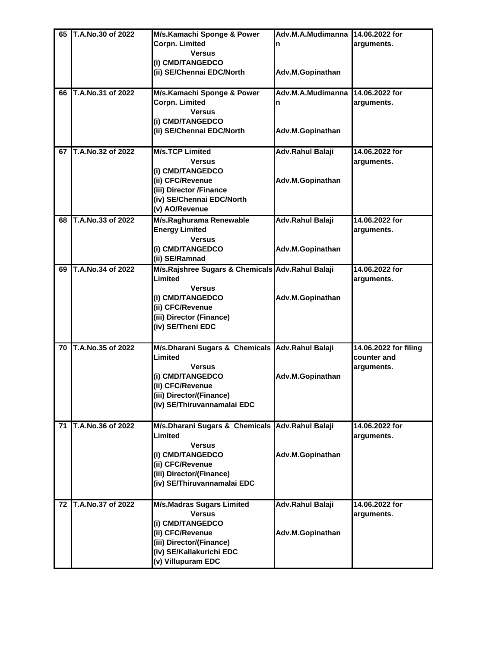| 65 | T.A.No.30 of 2022 | M/s.Kamachi Sponge & Power                       | Adv.M.A.Mudimanna       | 14.06.2022 for        |
|----|-------------------|--------------------------------------------------|-------------------------|-----------------------|
|    |                   | Corpn. Limited                                   | n                       | arguments.            |
|    |                   | <b>Versus</b>                                    |                         |                       |
|    |                   | (i) CMD/TANGEDCO                                 |                         |                       |
|    |                   | (ii) SE/Chennai EDC/North                        |                         |                       |
|    |                   |                                                  | Adv.M.Gopinathan        |                       |
|    |                   |                                                  |                         |                       |
| 66 | T.A.No.31 of 2022 | M/s.Kamachi Sponge & Power                       | Adv.M.A.Mudimanna       | 14.06.2022 for        |
|    |                   | Corpn. Limited                                   | n                       | arguments.            |
|    |                   | <b>Versus</b>                                    |                         |                       |
|    |                   | (i) CMD/TANGEDCO                                 |                         |                       |
|    |                   | (ii) SE/Chennai EDC/North                        | Adv.M.Gopinathan        |                       |
|    |                   |                                                  |                         |                       |
| 67 | T.A.No.32 of 2022 | <b>M/s.TCP Limited</b>                           | Adv.Rahul Balaji        | 14.06.2022 for        |
|    |                   | <b>Versus</b>                                    |                         | arguments.            |
|    |                   | (i) CMD/TANGEDCO                                 |                         |                       |
|    |                   | (ii) CFC/Revenue                                 | Adv.M.Gopinathan        |                       |
|    |                   | (iii) Director /Finance                          |                         |                       |
|    |                   | (iv) SE/Chennai EDC/North                        |                         |                       |
|    |                   | (v) AO/Revenue                                   |                         |                       |
| 68 | T.A.No.33 of 2022 | M/s.Raghurama Renewable                          | <b>Adv.Rahul Balaji</b> | 14.06.2022 for        |
|    |                   | <b>Energy Limited</b>                            |                         | arguments.            |
|    |                   | <b>Versus</b>                                    |                         |                       |
|    |                   |                                                  |                         |                       |
|    |                   | (i) CMD/TANGEDCO                                 | Adv.M.Gopinathan        |                       |
|    |                   | (ii) SE/Ramnad                                   |                         |                       |
| 69 | T.A.No.34 of 2022 | M/s.Rajshree Sugars & Chemicals Adv.Rahul Balaji |                         | 14.06.2022 for        |
|    |                   | Limited                                          |                         | arguments.            |
|    |                   | <b>Versus</b>                                    |                         |                       |
|    |                   | (i) CMD/TANGEDCO                                 | Adv.M.Gopinathan        |                       |
|    |                   | (ii) CFC/Revenue                                 |                         |                       |
|    |                   | (iii) Director (Finance)                         |                         |                       |
|    |                   | (iv) SE/Theni EDC                                |                         |                       |
|    |                   |                                                  |                         |                       |
| 70 | T.A.No.35 of 2022 | M/s.Dharani Sugars & Chemicals Adv.Rahul Balaji  |                         | 14.06.2022 for filing |
|    |                   | Limited                                          |                         | counter and           |
|    |                   | <b>Versus</b>                                    |                         | arguments.            |
|    |                   | (i) CMD/TANGEDCO                                 | Adv.M.Gopinathan        |                       |
|    |                   | (ii) CFC/Revenue                                 |                         |                       |
|    |                   |                                                  |                         |                       |
|    |                   | (iii) Director/(Finance)                         |                         |                       |
|    |                   | (iv) SE/Thiruvannamalai EDC                      |                         |                       |
|    |                   |                                                  |                         |                       |
| 71 | T.A.No.36 of 2022 | M/s.Dharani Sugars & Chemicals Adv.Rahul Balaji  |                         | 14.06.2022 for        |
|    |                   | Limited                                          |                         | arguments.            |
|    |                   | <b>Versus</b>                                    |                         |                       |
|    |                   | (i) CMD/TANGEDCO                                 | Adv.M.Gopinathan        |                       |
|    |                   | (ii) CFC/Revenue                                 |                         |                       |
|    |                   | (iii) Director/(Finance)                         |                         |                       |
|    |                   | (iv) SE/Thiruvannamalai EDC                      |                         |                       |
|    |                   |                                                  |                         |                       |
| 72 | T.A.No.37 of 2022 | <b>M/s.Madras Sugars Limited</b>                 | Adv.Rahul Balaji        | 14.06.2022 for        |
|    |                   | <b>Versus</b>                                    |                         | arguments.            |
|    |                   | (i) CMD/TANGEDCO                                 |                         |                       |
|    |                   | (ii) CFC/Revenue                                 | Adv.M.Gopinathan        |                       |
|    |                   | (iii) Director/(Finance)                         |                         |                       |
|    |                   | (iv) SE/Kallakurichi EDC                         |                         |                       |
|    |                   |                                                  |                         |                       |
|    |                   | (v) Villupuram EDC                               |                         |                       |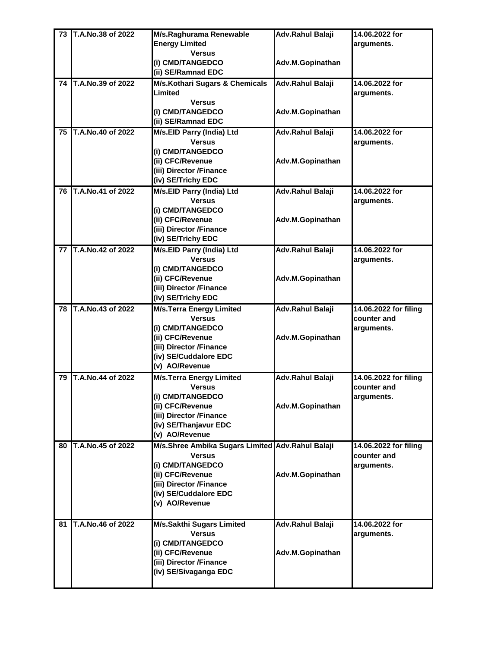| 73 | T.A.No.38 of 2022 | M/s.Raghurama Renewable                          | Adv.Rahul Balaji | 14.06.2022 for        |
|----|-------------------|--------------------------------------------------|------------------|-----------------------|
|    |                   | <b>Energy Limited</b>                            |                  | arguments.            |
|    |                   | <b>Versus</b>                                    |                  |                       |
|    |                   | (i) CMD/TANGEDCO                                 | Adv.M.Gopinathan |                       |
|    |                   | (ii) SE/Ramnad EDC                               |                  |                       |
| 74 | T.A.No.39 of 2022 | M/s.Kothari Sugars & Chemicals                   | Adv.Rahul Balaji | 14.06.2022 for        |
|    |                   | Limited                                          |                  | arguments.            |
|    |                   | <b>Versus</b>                                    |                  |                       |
|    |                   | (i) CMD/TANGEDCO                                 | Adv.M.Gopinathan |                       |
|    |                   | (ii) SE/Ramnad EDC                               |                  |                       |
| 75 | T.A.No.40 of 2022 | M/s.EID Parry (India) Ltd                        | Adv.Rahul Balaji | 14.06.2022 for        |
|    |                   | <b>Versus</b>                                    |                  | arguments.            |
|    |                   | (i) CMD/TANGEDCO                                 |                  |                       |
|    |                   | (ii) CFC/Revenue                                 | Adv.M.Gopinathan |                       |
|    |                   | (iii) Director /Finance                          |                  |                       |
|    |                   | (iv) SE/Trichy EDC                               |                  |                       |
| 76 | T.A.No.41 of 2022 | M/s.EID Parry (India) Ltd                        | Adv.Rahul Balaji | 14.06.2022 for        |
|    |                   | <b>Versus</b>                                    |                  | arguments.            |
|    |                   | (i) CMD/TANGEDCO                                 |                  |                       |
|    |                   | (ii) CFC/Revenue                                 | Adv.M.Gopinathan |                       |
|    |                   | (iii) Director /Finance                          |                  |                       |
|    |                   | (iv) SE/Trichy EDC                               |                  |                       |
| 77 | T.A.No.42 of 2022 | M/s.EID Parry (India) Ltd                        | Adv.Rahul Balaji | 14.06.2022 for        |
|    |                   | <b>Versus</b>                                    |                  | arguments.            |
|    |                   | (i) CMD/TANGEDCO                                 |                  |                       |
|    |                   | (ii) CFC/Revenue                                 | Adv.M.Gopinathan |                       |
|    |                   | (iii) Director /Finance                          |                  |                       |
|    |                   | (iv) SE/Trichy EDC                               |                  |                       |
| 78 | T.A.No.43 of 2022 | <b>M/s.Terra Energy Limited</b>                  | Adv.Rahul Balaji | 14.06.2022 for filing |
|    |                   | <b>Versus</b>                                    |                  | counter and           |
|    |                   | (i) CMD/TANGEDCO                                 |                  | arguments.            |
|    |                   | (ii) CFC/Revenue                                 | Adv.M.Gopinathan |                       |
|    |                   | (iii) Director /Finance                          |                  |                       |
|    |                   | (iv) SE/Cuddalore EDC                            |                  |                       |
|    |                   | (v) AO/Revenue                                   |                  |                       |
| 79 | T.A.No.44 of 2022 | <b>M/s.Terra Energy Limited</b>                  | Adv.Rahul Balaji | 14.06.2022 for filing |
|    |                   | <b>Versus</b>                                    |                  | counter and           |
|    |                   | (i) CMD/TANGEDCO                                 |                  | arguments.            |
|    |                   | (ii) CFC/Revenue                                 | Adv.M.Gopinathan |                       |
|    |                   | (iii) Director /Finance                          |                  |                       |
|    |                   | (iv) SE/Thanjavur EDC                            |                  |                       |
|    |                   | (v) AO/Revenue                                   |                  |                       |
| 80 | T.A.No.45 of 2022 | M/s.Shree Ambika Sugars Limited Adv.Rahul Balaji |                  | 14.06.2022 for filing |
|    |                   | <b>Versus</b>                                    |                  | counter and           |
|    |                   | (i) CMD/TANGEDCO                                 |                  | arguments.            |
|    |                   | (ii) CFC/Revenue                                 | Adv.M.Gopinathan |                       |
|    |                   | (iii) Director /Finance                          |                  |                       |
|    |                   | (iv) SE/Cuddalore EDC                            |                  |                       |
|    |                   | (v) AO/Revenue                                   |                  |                       |
|    |                   |                                                  |                  |                       |
| 81 | T.A.No.46 of 2022 | <b>M/s.Sakthi Sugars Limited</b>                 | Adv.Rahul Balaji | 14.06.2022 for        |
|    |                   | <b>Versus</b>                                    |                  | arguments.            |
|    |                   | (i) CMD/TANGEDCO                                 |                  |                       |
|    |                   | (ii) CFC/Revenue                                 | Adv.M.Gopinathan |                       |
|    |                   | (iii) Director /Finance                          |                  |                       |
|    |                   | (iv) SE/Sivaganga EDC                            |                  |                       |
|    |                   |                                                  |                  |                       |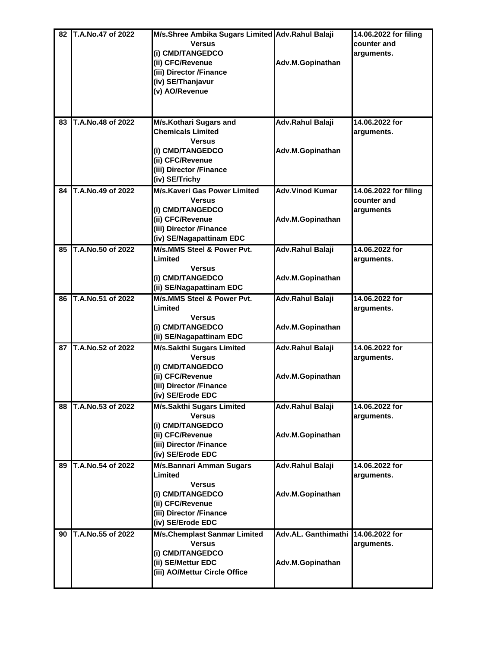| 82 | T.A.No.47 of 2022 | M/s.Shree Ambika Sugars Limited Adv.Rahul Balaji |                                    | 14.06.2022 for filing |
|----|-------------------|--------------------------------------------------|------------------------------------|-----------------------|
|    |                   | <b>Versus</b>                                    |                                    | counter and           |
|    |                   | (i) CMD/TANGEDCO                                 |                                    | arguments.            |
|    |                   | (ii) CFC/Revenue                                 | Adv.M.Gopinathan                   |                       |
|    |                   | (iii) Director /Finance                          |                                    |                       |
|    |                   | (iv) SE/Thanjavur                                |                                    |                       |
|    |                   | (v) AO/Revenue                                   |                                    |                       |
|    |                   |                                                  |                                    |                       |
|    |                   |                                                  |                                    |                       |
| 83 | T.A.No.48 of 2022 | M/s.Kothari Sugars and                           | Adv.Rahul Balaji                   | 14.06.2022 for        |
|    |                   | <b>Chemicals Limited</b>                         |                                    | arguments.            |
|    |                   | <b>Versus</b>                                    |                                    |                       |
|    |                   | (i) CMD/TANGEDCO                                 | Adv.M.Gopinathan                   |                       |
|    |                   | (ii) CFC/Revenue                                 |                                    |                       |
|    |                   | (iii) Director /Finance                          |                                    |                       |
|    |                   | (iv) SE/Trichy                                   |                                    |                       |
| 84 | T.A.No.49 of 2022 | <b>M/s.Kaveri Gas Power Limited</b>              | <b>Adv.Vinod Kumar</b>             | 14.06.2022 for filing |
|    |                   | <b>Versus</b>                                    |                                    | counter and           |
|    |                   | (i) CMD/TANGEDCO                                 |                                    | arguments             |
|    |                   | (ii) CFC/Revenue                                 | Adv.M.Gopinathan                   |                       |
|    |                   | (iii) Director /Finance                          |                                    |                       |
|    |                   | (iv) SE/Nagapattinam EDC                         |                                    |                       |
| 85 | T.A.No.50 of 2022 | M/s.MMS Steel & Power Pvt.                       | Adv.Rahul Balaji                   | 14.06.2022 for        |
|    |                   | Limited                                          |                                    | arguments.            |
|    |                   | <b>Versus</b>                                    |                                    |                       |
|    |                   | (i) CMD/TANGEDCO                                 | Adv.M.Gopinathan                   |                       |
|    |                   | (ii) SE/Nagapattinam EDC                         |                                    |                       |
| 86 | T.A.No.51 of 2022 | M/s.MMS Steel & Power Pvt.                       | Adv.Rahul Balaji                   | 14.06.2022 for        |
|    |                   | Limited                                          |                                    | arguments.            |
|    |                   | <b>Versus</b>                                    |                                    |                       |
|    |                   | (i) CMD/TANGEDCO                                 | Adv.M.Gopinathan                   |                       |
|    |                   | (ii) SE/Nagapattinam EDC                         |                                    |                       |
| 87 | T.A.No.52 of 2022 | <b>M/s.Sakthi Sugars Limited</b>                 | <b>Adv.Rahul Balaji</b>            | 14.06.2022 for        |
|    |                   | <b>Versus</b>                                    |                                    | arguments.            |
|    |                   | (i) CMD/TANGEDCO                                 |                                    |                       |
|    |                   | (ii) CFC/Revenue                                 | Adv.M.Gopinathan                   |                       |
|    |                   | (iii) Director /Finance                          |                                    |                       |
|    |                   | (iv) SE/Erode EDC                                |                                    |                       |
| 88 | T.A.No.53 of 2022 | <b>M/s.Sakthi Sugars Limited</b>                 | <b>Adv.Rahul Balaji</b>            | 14.06.2022 for        |
|    |                   | <b>Versus</b>                                    |                                    | arguments.            |
|    |                   | (i) CMD/TANGEDCO                                 |                                    |                       |
|    |                   | (ii) CFC/Revenue                                 | Adv.M.Gopinathan                   |                       |
|    |                   | (iii) Director /Finance                          |                                    |                       |
|    |                   | (iv) SE/Erode EDC                                |                                    |                       |
| 89 | T.A.No.54 of 2022 | <b>M/s.Bannari Amman Sugars</b>                  | Adv.Rahul Balaji                   | 14.06.2022 for        |
|    |                   | Limited                                          |                                    | arguments.            |
|    |                   | <b>Versus</b>                                    |                                    |                       |
|    |                   | (i) CMD/TANGEDCO                                 | Adv.M.Gopinathan                   |                       |
|    |                   | (ii) CFC/Revenue                                 |                                    |                       |
|    |                   | (iii) Director /Finance                          |                                    |                       |
|    |                   | (iv) SE/Erode EDC                                |                                    |                       |
| 90 | T.A.No.55 of 2022 | <b>M/s.Chemplast Sanmar Limited</b>              | Adv.AL. Ganthimathi 14.06.2022 for |                       |
|    |                   | <b>Versus</b>                                    |                                    | arguments.            |
|    |                   | (i) CMD/TANGEDCO                                 |                                    |                       |
|    |                   | (ii) SE/Mettur EDC                               | Adv.M.Gopinathan                   |                       |
|    |                   | (iii) AO/Mettur Circle Office                    |                                    |                       |
|    |                   |                                                  |                                    |                       |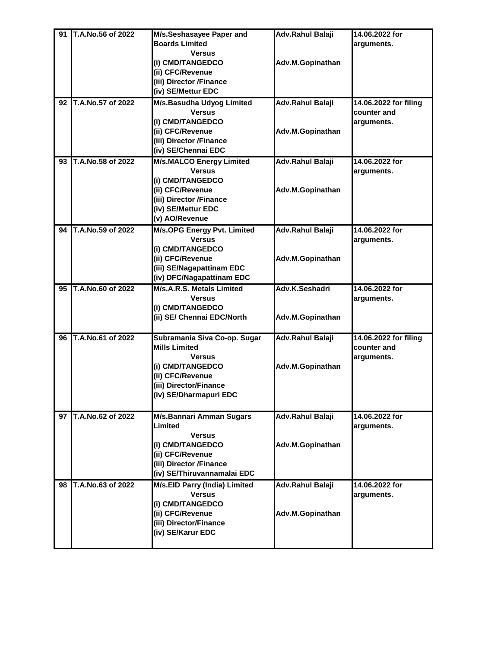| 91 | T.A.No.56 of 2022 | M/s.Seshasayee Paper and        | Adv.Rahul Balaji | 14.06.2022 for        |
|----|-------------------|---------------------------------|------------------|-----------------------|
|    |                   | <b>Boards Limited</b>           |                  | arguments.            |
|    |                   | <b>Versus</b>                   |                  |                       |
|    |                   | (i) CMD/TANGEDCO                | Adv.M.Gopinathan |                       |
|    |                   | (ii) CFC/Revenue                |                  |                       |
|    |                   | (iii) Director /Finance         |                  |                       |
|    |                   | (iv) SE/Mettur EDC              |                  |                       |
|    |                   |                                 |                  |                       |
| 92 | T.A.No.57 of 2022 | M/s.Basudha Udyog Limited       | Adv.Rahul Balaji | 14.06.2022 for filing |
|    |                   | <b>Versus</b>                   |                  | counter and           |
|    |                   | (i) CMD/TANGEDCO                |                  | arguments.            |
|    |                   | (ii) CFC/Revenue                | Adv.M.Gopinathan |                       |
|    |                   | (iii) Director /Finance         |                  |                       |
|    |                   | (iv) SE/Chennai EDC             |                  |                       |
| 93 | T.A.No.58 of 2022 | <b>M/s.MALCO Energy Limited</b> | Adv.Rahul Balaji | 14.06.2022 for        |
|    |                   | <b>Versus</b>                   |                  | arguments.            |
|    |                   | (i) CMD/TANGEDCO                |                  |                       |
|    |                   | (ii) CFC/Revenue                | Adv.M.Gopinathan |                       |
|    |                   | (iii) Director /Finance         |                  |                       |
|    |                   | (iv) SE/Mettur EDC              |                  |                       |
|    |                   | (v) AO/Revenue                  |                  |                       |
| 94 | T.A.No.59 of 2022 | M/s.OPG Energy Pvt. Limited     | Adv.Rahul Balaji | 14.06.2022 for        |
|    |                   | <b>Versus</b>                   |                  | arguments.            |
|    |                   | (i) CMD/TANGEDCO                |                  |                       |
|    |                   | (ii) CFC/Revenue                | Adv.M.Gopinathan |                       |
|    |                   | (iii) SE/Nagapattinam EDC       |                  |                       |
|    |                   | (iv) DFC/Nagapattinam EDC       |                  |                       |
| 95 | T.A.No.60 of 2022 | M/s.A.R.S. Metals Limited       | Adv.K.Seshadri   | 14.06.2022 for        |
|    |                   | <b>Versus</b>                   |                  | arguments.            |
|    |                   | (i) CMD/TANGEDCO                |                  |                       |
|    |                   | (ii) SE/ Chennai EDC/North      | Adv.M.Gopinathan |                       |
|    |                   |                                 |                  |                       |
| 96 | T.A.No.61 of 2022 | Subramania Siva Co-op. Sugar    | Adv.Rahul Balaji | 14.06.2022 for filing |
|    |                   | <b>Mills Limited</b>            |                  | counter and           |
|    |                   | <b>Versus</b>                   |                  | arguments.            |
|    |                   | (i) CMD/TANGEDCO                | Adv.M.Gopinathan |                       |
|    |                   | (ii) CFC/Revenue                |                  |                       |
|    |                   | (iii) Director/Finance          |                  |                       |
|    |                   | (iv) SE/Dharmapuri EDC          |                  |                       |
|    |                   |                                 |                  |                       |
| 97 | T.A.No.62 of 2022 | M/s.Bannari Amman Sugars        | Adv.Rahul Balaji | 14.06.2022 for        |
|    |                   | Limited                         |                  | arguments.            |
|    |                   | <b>Versus</b>                   |                  |                       |
|    |                   | (i) CMD/TANGEDCO                | Adv.M.Gopinathan |                       |
|    |                   | (ii) CFC/Revenue                |                  |                       |
|    |                   | (iii) Director /Finance         |                  |                       |
|    |                   | (iv) SE/Thiruvannamalai EDC     |                  |                       |
| 98 | T.A.No.63 of 2022 | M/s.EID Parry (India) Limited   | Adv.Rahul Balaji | 14.06.2022 for        |
|    |                   | <b>Versus</b>                   |                  | arguments.            |
|    |                   | (i) CMD/TANGEDCO                |                  |                       |
|    |                   | (ii) CFC/Revenue                | Adv.M.Gopinathan |                       |
|    |                   | (iii) Director/Finance          |                  |                       |
|    |                   |                                 |                  |                       |
|    |                   | (iv) SE/Karur EDC               |                  |                       |
|    |                   |                                 |                  |                       |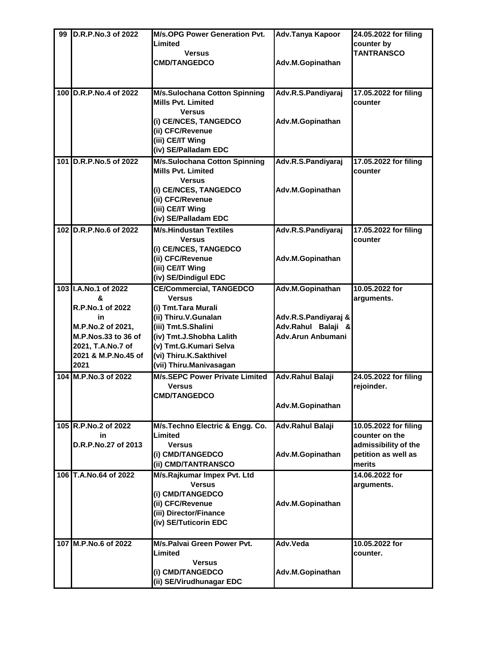| counter by<br>Limited<br><b>TANTRANSCO</b><br><b>Versus</b><br>Adv.M.Gopinathan<br><b>CMD/TANGEDCO</b><br>100 D.R.P.No.4 of 2022<br><b>M/s.Sulochana Cotton Spinning</b><br>Adv.R.S.Pandiyaraj<br>17.05.2022 for filing<br><b>Mills Pvt. Limited</b><br>counter<br><b>Versus</b><br>(i) CE/NCES, TANGEDCO<br>Adv.M.Gopinathan<br>(ii) CFC/Revenue<br>(iii) CE/IT Wing<br>(iv) SE/Palladam EDC<br>101 D.R.P.No.5 of 2022<br><b>M/s.Sulochana Cotton Spinning</b><br>Adv.R.S.Pandiyaraj<br>17.05.2022 for filing<br><b>Mills Pyt. Limited</b><br>counter<br><b>Versus</b><br>(i) CE/NCES, TANGEDCO<br>Adv.M.Gopinathan<br>(ii) CFC/Revenue<br>(iii) CE/IT Wing<br>(iv) SE/Palladam EDC<br><b>M/s.Hindustan Textiles</b><br>102 D.R.P.No.6 of 2022<br>Adv.R.S.Pandiyaraj<br>17.05.2022 for filing<br><b>Versus</b><br>counter<br>(i) CE/NCES, TANGEDCO<br>(ii) CFC/Revenue<br>Adv.M.Gopinathan<br>(iii) CE/IT Wing<br>(iv) SE/Dindigul EDC<br><b>CE/Commercial, TANGEDCO</b><br>103 I.A.No.1 of 2022<br>Adv.M.Gopinathan<br>10.05.2022 for<br><b>Versus</b><br>&<br>arguments.<br>R.P.No.1 of 2022<br>(i) Tmt.Tara Murali<br>(ii) Thiru.V.Gunalan<br>Adv.R.S.Pandiyaraj &<br>in<br>M.P.No.2 of 2021,<br>(iii) Tmt.S.Shalini<br>Adv.Rahul Balaji &<br><b>Adv.Arun Anbumani</b><br>M.P.Nos.33 to 36 of<br>(iv) Tmt.J.Shobha Lalith<br>(v) Tmt.G.Kumari Selva<br>2021, T.A.No.7 of<br>2021 & M.P.No.45 of<br>(vi) Thiru.K.Sakthivel<br>(vii) Thiru.Manivasagan<br>2021<br><b>M/s.SEPC Power Private Limited</b><br>104 M.P.No.3 of 2022<br>24.05.2022 for filing<br>Adv.Rahul Balaji<br>rejoinder.<br><b>Versus</b><br><b>CMD/TANGEDCO</b><br>Adv.M.Gopinathan<br>105 R.P.No.2 of 2022<br>M/s. Techno Electric & Engg. Co.<br>Adv.Rahul Balaji<br>10.05.2022 for filing<br>Limited<br>counter on the<br>in<br>D.R.P.No.27 of 2013<br>admissibility of the<br><b>Versus</b><br>petition as well as<br>(i) CMD/TANGEDCO<br>Adv.M.Gopinathan<br>(ii) CMD/TANTRANSCO<br>merits<br>M/s.Rajkumar Impex Pvt. Ltd<br>106 T.A.No.64 of 2022<br>14.06.2022 for<br><b>Versus</b><br>arguments.<br>(i) CMD/TANGEDCO<br>(ii) CFC/Revenue<br>Adv.M.Gopinathan<br>(iii) Director/Finance<br>(iv) SE/Tuticorin EDC | 107 M.P.No.6 of 2022<br>M/s.Palvai Green Power Pvt.<br>Adv.Veda<br>10.05.2022 for<br>Limited<br>counter.<br><b>Versus</b><br>(i) CMD/TANGEDCO<br>Adv.M.Gopinathan | 99 | <b>ID.R.P.No.3 of 2022</b> | <b>M/s.OPG Power Generation Pvt.</b> | Adv.Tanya Kapoor | 24.05.2022 for filing |
|----------------------------------------------------------------------------------------------------------------------------------------------------------------------------------------------------------------------------------------------------------------------------------------------------------------------------------------------------------------------------------------------------------------------------------------------------------------------------------------------------------------------------------------------------------------------------------------------------------------------------------------------------------------------------------------------------------------------------------------------------------------------------------------------------------------------------------------------------------------------------------------------------------------------------------------------------------------------------------------------------------------------------------------------------------------------------------------------------------------------------------------------------------------------------------------------------------------------------------------------------------------------------------------------------------------------------------------------------------------------------------------------------------------------------------------------------------------------------------------------------------------------------------------------------------------------------------------------------------------------------------------------------------------------------------------------------------------------------------------------------------------------------------------------------------------------------------------------------------------------------------------------------------------------------------------------------------------------------------------------------------------------------------------------------------------------------------------------------------------------------------------------------------------------------------------------|-------------------------------------------------------------------------------------------------------------------------------------------------------------------|----|----------------------------|--------------------------------------|------------------|-----------------------|
|                                                                                                                                                                                                                                                                                                                                                                                                                                                                                                                                                                                                                                                                                                                                                                                                                                                                                                                                                                                                                                                                                                                                                                                                                                                                                                                                                                                                                                                                                                                                                                                                                                                                                                                                                                                                                                                                                                                                                                                                                                                                                                                                                                                              |                                                                                                                                                                   |    |                            |                                      |                  |                       |
|                                                                                                                                                                                                                                                                                                                                                                                                                                                                                                                                                                                                                                                                                                                                                                                                                                                                                                                                                                                                                                                                                                                                                                                                                                                                                                                                                                                                                                                                                                                                                                                                                                                                                                                                                                                                                                                                                                                                                                                                                                                                                                                                                                                              |                                                                                                                                                                   |    |                            |                                      |                  |                       |
|                                                                                                                                                                                                                                                                                                                                                                                                                                                                                                                                                                                                                                                                                                                                                                                                                                                                                                                                                                                                                                                                                                                                                                                                                                                                                                                                                                                                                                                                                                                                                                                                                                                                                                                                                                                                                                                                                                                                                                                                                                                                                                                                                                                              |                                                                                                                                                                   |    |                            |                                      |                  |                       |
|                                                                                                                                                                                                                                                                                                                                                                                                                                                                                                                                                                                                                                                                                                                                                                                                                                                                                                                                                                                                                                                                                                                                                                                                                                                                                                                                                                                                                                                                                                                                                                                                                                                                                                                                                                                                                                                                                                                                                                                                                                                                                                                                                                                              |                                                                                                                                                                   |    |                            |                                      |                  |                       |
|                                                                                                                                                                                                                                                                                                                                                                                                                                                                                                                                                                                                                                                                                                                                                                                                                                                                                                                                                                                                                                                                                                                                                                                                                                                                                                                                                                                                                                                                                                                                                                                                                                                                                                                                                                                                                                                                                                                                                                                                                                                                                                                                                                                              |                                                                                                                                                                   |    |                            |                                      |                  |                       |
|                                                                                                                                                                                                                                                                                                                                                                                                                                                                                                                                                                                                                                                                                                                                                                                                                                                                                                                                                                                                                                                                                                                                                                                                                                                                                                                                                                                                                                                                                                                                                                                                                                                                                                                                                                                                                                                                                                                                                                                                                                                                                                                                                                                              |                                                                                                                                                                   |    |                            |                                      |                  |                       |
|                                                                                                                                                                                                                                                                                                                                                                                                                                                                                                                                                                                                                                                                                                                                                                                                                                                                                                                                                                                                                                                                                                                                                                                                                                                                                                                                                                                                                                                                                                                                                                                                                                                                                                                                                                                                                                                                                                                                                                                                                                                                                                                                                                                              |                                                                                                                                                                   |    |                            |                                      |                  |                       |
|                                                                                                                                                                                                                                                                                                                                                                                                                                                                                                                                                                                                                                                                                                                                                                                                                                                                                                                                                                                                                                                                                                                                                                                                                                                                                                                                                                                                                                                                                                                                                                                                                                                                                                                                                                                                                                                                                                                                                                                                                                                                                                                                                                                              |                                                                                                                                                                   |    |                            |                                      |                  |                       |
|                                                                                                                                                                                                                                                                                                                                                                                                                                                                                                                                                                                                                                                                                                                                                                                                                                                                                                                                                                                                                                                                                                                                                                                                                                                                                                                                                                                                                                                                                                                                                                                                                                                                                                                                                                                                                                                                                                                                                                                                                                                                                                                                                                                              |                                                                                                                                                                   |    |                            |                                      |                  |                       |
|                                                                                                                                                                                                                                                                                                                                                                                                                                                                                                                                                                                                                                                                                                                                                                                                                                                                                                                                                                                                                                                                                                                                                                                                                                                                                                                                                                                                                                                                                                                                                                                                                                                                                                                                                                                                                                                                                                                                                                                                                                                                                                                                                                                              |                                                                                                                                                                   |    |                            |                                      |                  |                       |
|                                                                                                                                                                                                                                                                                                                                                                                                                                                                                                                                                                                                                                                                                                                                                                                                                                                                                                                                                                                                                                                                                                                                                                                                                                                                                                                                                                                                                                                                                                                                                                                                                                                                                                                                                                                                                                                                                                                                                                                                                                                                                                                                                                                              |                                                                                                                                                                   |    |                            |                                      |                  |                       |
|                                                                                                                                                                                                                                                                                                                                                                                                                                                                                                                                                                                                                                                                                                                                                                                                                                                                                                                                                                                                                                                                                                                                                                                                                                                                                                                                                                                                                                                                                                                                                                                                                                                                                                                                                                                                                                                                                                                                                                                                                                                                                                                                                                                              |                                                                                                                                                                   |    |                            |                                      |                  |                       |
|                                                                                                                                                                                                                                                                                                                                                                                                                                                                                                                                                                                                                                                                                                                                                                                                                                                                                                                                                                                                                                                                                                                                                                                                                                                                                                                                                                                                                                                                                                                                                                                                                                                                                                                                                                                                                                                                                                                                                                                                                                                                                                                                                                                              |                                                                                                                                                                   |    |                            |                                      |                  |                       |
|                                                                                                                                                                                                                                                                                                                                                                                                                                                                                                                                                                                                                                                                                                                                                                                                                                                                                                                                                                                                                                                                                                                                                                                                                                                                                                                                                                                                                                                                                                                                                                                                                                                                                                                                                                                                                                                                                                                                                                                                                                                                                                                                                                                              |                                                                                                                                                                   |    |                            |                                      |                  |                       |
|                                                                                                                                                                                                                                                                                                                                                                                                                                                                                                                                                                                                                                                                                                                                                                                                                                                                                                                                                                                                                                                                                                                                                                                                                                                                                                                                                                                                                                                                                                                                                                                                                                                                                                                                                                                                                                                                                                                                                                                                                                                                                                                                                                                              |                                                                                                                                                                   |    |                            |                                      |                  |                       |
|                                                                                                                                                                                                                                                                                                                                                                                                                                                                                                                                                                                                                                                                                                                                                                                                                                                                                                                                                                                                                                                                                                                                                                                                                                                                                                                                                                                                                                                                                                                                                                                                                                                                                                                                                                                                                                                                                                                                                                                                                                                                                                                                                                                              |                                                                                                                                                                   |    |                            |                                      |                  |                       |
|                                                                                                                                                                                                                                                                                                                                                                                                                                                                                                                                                                                                                                                                                                                                                                                                                                                                                                                                                                                                                                                                                                                                                                                                                                                                                                                                                                                                                                                                                                                                                                                                                                                                                                                                                                                                                                                                                                                                                                                                                                                                                                                                                                                              |                                                                                                                                                                   |    |                            |                                      |                  |                       |
|                                                                                                                                                                                                                                                                                                                                                                                                                                                                                                                                                                                                                                                                                                                                                                                                                                                                                                                                                                                                                                                                                                                                                                                                                                                                                                                                                                                                                                                                                                                                                                                                                                                                                                                                                                                                                                                                                                                                                                                                                                                                                                                                                                                              |                                                                                                                                                                   |    |                            |                                      |                  |                       |
|                                                                                                                                                                                                                                                                                                                                                                                                                                                                                                                                                                                                                                                                                                                                                                                                                                                                                                                                                                                                                                                                                                                                                                                                                                                                                                                                                                                                                                                                                                                                                                                                                                                                                                                                                                                                                                                                                                                                                                                                                                                                                                                                                                                              |                                                                                                                                                                   |    |                            |                                      |                  |                       |
|                                                                                                                                                                                                                                                                                                                                                                                                                                                                                                                                                                                                                                                                                                                                                                                                                                                                                                                                                                                                                                                                                                                                                                                                                                                                                                                                                                                                                                                                                                                                                                                                                                                                                                                                                                                                                                                                                                                                                                                                                                                                                                                                                                                              |                                                                                                                                                                   |    |                            |                                      |                  |                       |
|                                                                                                                                                                                                                                                                                                                                                                                                                                                                                                                                                                                                                                                                                                                                                                                                                                                                                                                                                                                                                                                                                                                                                                                                                                                                                                                                                                                                                                                                                                                                                                                                                                                                                                                                                                                                                                                                                                                                                                                                                                                                                                                                                                                              |                                                                                                                                                                   |    |                            |                                      |                  |                       |
|                                                                                                                                                                                                                                                                                                                                                                                                                                                                                                                                                                                                                                                                                                                                                                                                                                                                                                                                                                                                                                                                                                                                                                                                                                                                                                                                                                                                                                                                                                                                                                                                                                                                                                                                                                                                                                                                                                                                                                                                                                                                                                                                                                                              |                                                                                                                                                                   |    |                            |                                      |                  |                       |
|                                                                                                                                                                                                                                                                                                                                                                                                                                                                                                                                                                                                                                                                                                                                                                                                                                                                                                                                                                                                                                                                                                                                                                                                                                                                                                                                                                                                                                                                                                                                                                                                                                                                                                                                                                                                                                                                                                                                                                                                                                                                                                                                                                                              |                                                                                                                                                                   |    |                            |                                      |                  |                       |
|                                                                                                                                                                                                                                                                                                                                                                                                                                                                                                                                                                                                                                                                                                                                                                                                                                                                                                                                                                                                                                                                                                                                                                                                                                                                                                                                                                                                                                                                                                                                                                                                                                                                                                                                                                                                                                                                                                                                                                                                                                                                                                                                                                                              |                                                                                                                                                                   |    |                            |                                      |                  |                       |
|                                                                                                                                                                                                                                                                                                                                                                                                                                                                                                                                                                                                                                                                                                                                                                                                                                                                                                                                                                                                                                                                                                                                                                                                                                                                                                                                                                                                                                                                                                                                                                                                                                                                                                                                                                                                                                                                                                                                                                                                                                                                                                                                                                                              |                                                                                                                                                                   |    |                            |                                      |                  |                       |
|                                                                                                                                                                                                                                                                                                                                                                                                                                                                                                                                                                                                                                                                                                                                                                                                                                                                                                                                                                                                                                                                                                                                                                                                                                                                                                                                                                                                                                                                                                                                                                                                                                                                                                                                                                                                                                                                                                                                                                                                                                                                                                                                                                                              |                                                                                                                                                                   |    |                            |                                      |                  |                       |
|                                                                                                                                                                                                                                                                                                                                                                                                                                                                                                                                                                                                                                                                                                                                                                                                                                                                                                                                                                                                                                                                                                                                                                                                                                                                                                                                                                                                                                                                                                                                                                                                                                                                                                                                                                                                                                                                                                                                                                                                                                                                                                                                                                                              |                                                                                                                                                                   |    |                            |                                      |                  |                       |
|                                                                                                                                                                                                                                                                                                                                                                                                                                                                                                                                                                                                                                                                                                                                                                                                                                                                                                                                                                                                                                                                                                                                                                                                                                                                                                                                                                                                                                                                                                                                                                                                                                                                                                                                                                                                                                                                                                                                                                                                                                                                                                                                                                                              |                                                                                                                                                                   |    |                            |                                      |                  |                       |
|                                                                                                                                                                                                                                                                                                                                                                                                                                                                                                                                                                                                                                                                                                                                                                                                                                                                                                                                                                                                                                                                                                                                                                                                                                                                                                                                                                                                                                                                                                                                                                                                                                                                                                                                                                                                                                                                                                                                                                                                                                                                                                                                                                                              |                                                                                                                                                                   |    |                            |                                      |                  |                       |
|                                                                                                                                                                                                                                                                                                                                                                                                                                                                                                                                                                                                                                                                                                                                                                                                                                                                                                                                                                                                                                                                                                                                                                                                                                                                                                                                                                                                                                                                                                                                                                                                                                                                                                                                                                                                                                                                                                                                                                                                                                                                                                                                                                                              |                                                                                                                                                                   |    |                            |                                      |                  |                       |
|                                                                                                                                                                                                                                                                                                                                                                                                                                                                                                                                                                                                                                                                                                                                                                                                                                                                                                                                                                                                                                                                                                                                                                                                                                                                                                                                                                                                                                                                                                                                                                                                                                                                                                                                                                                                                                                                                                                                                                                                                                                                                                                                                                                              |                                                                                                                                                                   |    |                            |                                      |                  |                       |
|                                                                                                                                                                                                                                                                                                                                                                                                                                                                                                                                                                                                                                                                                                                                                                                                                                                                                                                                                                                                                                                                                                                                                                                                                                                                                                                                                                                                                                                                                                                                                                                                                                                                                                                                                                                                                                                                                                                                                                                                                                                                                                                                                                                              |                                                                                                                                                                   |    |                            |                                      |                  |                       |
|                                                                                                                                                                                                                                                                                                                                                                                                                                                                                                                                                                                                                                                                                                                                                                                                                                                                                                                                                                                                                                                                                                                                                                                                                                                                                                                                                                                                                                                                                                                                                                                                                                                                                                                                                                                                                                                                                                                                                                                                                                                                                                                                                                                              |                                                                                                                                                                   |    |                            |                                      |                  |                       |
|                                                                                                                                                                                                                                                                                                                                                                                                                                                                                                                                                                                                                                                                                                                                                                                                                                                                                                                                                                                                                                                                                                                                                                                                                                                                                                                                                                                                                                                                                                                                                                                                                                                                                                                                                                                                                                                                                                                                                                                                                                                                                                                                                                                              |                                                                                                                                                                   |    |                            |                                      |                  |                       |
|                                                                                                                                                                                                                                                                                                                                                                                                                                                                                                                                                                                                                                                                                                                                                                                                                                                                                                                                                                                                                                                                                                                                                                                                                                                                                                                                                                                                                                                                                                                                                                                                                                                                                                                                                                                                                                                                                                                                                                                                                                                                                                                                                                                              |                                                                                                                                                                   |    |                            |                                      |                  |                       |
|                                                                                                                                                                                                                                                                                                                                                                                                                                                                                                                                                                                                                                                                                                                                                                                                                                                                                                                                                                                                                                                                                                                                                                                                                                                                                                                                                                                                                                                                                                                                                                                                                                                                                                                                                                                                                                                                                                                                                                                                                                                                                                                                                                                              |                                                                                                                                                                   |    |                            |                                      |                  |                       |
|                                                                                                                                                                                                                                                                                                                                                                                                                                                                                                                                                                                                                                                                                                                                                                                                                                                                                                                                                                                                                                                                                                                                                                                                                                                                                                                                                                                                                                                                                                                                                                                                                                                                                                                                                                                                                                                                                                                                                                                                                                                                                                                                                                                              |                                                                                                                                                                   |    |                            |                                      |                  |                       |
|                                                                                                                                                                                                                                                                                                                                                                                                                                                                                                                                                                                                                                                                                                                                                                                                                                                                                                                                                                                                                                                                                                                                                                                                                                                                                                                                                                                                                                                                                                                                                                                                                                                                                                                                                                                                                                                                                                                                                                                                                                                                                                                                                                                              |                                                                                                                                                                   |    |                            |                                      |                  |                       |
|                                                                                                                                                                                                                                                                                                                                                                                                                                                                                                                                                                                                                                                                                                                                                                                                                                                                                                                                                                                                                                                                                                                                                                                                                                                                                                                                                                                                                                                                                                                                                                                                                                                                                                                                                                                                                                                                                                                                                                                                                                                                                                                                                                                              |                                                                                                                                                                   |    |                            |                                      |                  |                       |
|                                                                                                                                                                                                                                                                                                                                                                                                                                                                                                                                                                                                                                                                                                                                                                                                                                                                                                                                                                                                                                                                                                                                                                                                                                                                                                                                                                                                                                                                                                                                                                                                                                                                                                                                                                                                                                                                                                                                                                                                                                                                                                                                                                                              |                                                                                                                                                                   |    |                            |                                      |                  |                       |
|                                                                                                                                                                                                                                                                                                                                                                                                                                                                                                                                                                                                                                                                                                                                                                                                                                                                                                                                                                                                                                                                                                                                                                                                                                                                                                                                                                                                                                                                                                                                                                                                                                                                                                                                                                                                                                                                                                                                                                                                                                                                                                                                                                                              |                                                                                                                                                                   |    |                            |                                      |                  |                       |
|                                                                                                                                                                                                                                                                                                                                                                                                                                                                                                                                                                                                                                                                                                                                                                                                                                                                                                                                                                                                                                                                                                                                                                                                                                                                                                                                                                                                                                                                                                                                                                                                                                                                                                                                                                                                                                                                                                                                                                                                                                                                                                                                                                                              |                                                                                                                                                                   |    |                            |                                      |                  |                       |
|                                                                                                                                                                                                                                                                                                                                                                                                                                                                                                                                                                                                                                                                                                                                                                                                                                                                                                                                                                                                                                                                                                                                                                                                                                                                                                                                                                                                                                                                                                                                                                                                                                                                                                                                                                                                                                                                                                                                                                                                                                                                                                                                                                                              |                                                                                                                                                                   |    |                            |                                      |                  |                       |
|                                                                                                                                                                                                                                                                                                                                                                                                                                                                                                                                                                                                                                                                                                                                                                                                                                                                                                                                                                                                                                                                                                                                                                                                                                                                                                                                                                                                                                                                                                                                                                                                                                                                                                                                                                                                                                                                                                                                                                                                                                                                                                                                                                                              |                                                                                                                                                                   |    |                            |                                      |                  |                       |
|                                                                                                                                                                                                                                                                                                                                                                                                                                                                                                                                                                                                                                                                                                                                                                                                                                                                                                                                                                                                                                                                                                                                                                                                                                                                                                                                                                                                                                                                                                                                                                                                                                                                                                                                                                                                                                                                                                                                                                                                                                                                                                                                                                                              |                                                                                                                                                                   |    |                            |                                      |                  |                       |
|                                                                                                                                                                                                                                                                                                                                                                                                                                                                                                                                                                                                                                                                                                                                                                                                                                                                                                                                                                                                                                                                                                                                                                                                                                                                                                                                                                                                                                                                                                                                                                                                                                                                                                                                                                                                                                                                                                                                                                                                                                                                                                                                                                                              |                                                                                                                                                                   |    |                            |                                      |                  |                       |
|                                                                                                                                                                                                                                                                                                                                                                                                                                                                                                                                                                                                                                                                                                                                                                                                                                                                                                                                                                                                                                                                                                                                                                                                                                                                                                                                                                                                                                                                                                                                                                                                                                                                                                                                                                                                                                                                                                                                                                                                                                                                                                                                                                                              |                                                                                                                                                                   |    |                            |                                      |                  |                       |
|                                                                                                                                                                                                                                                                                                                                                                                                                                                                                                                                                                                                                                                                                                                                                                                                                                                                                                                                                                                                                                                                                                                                                                                                                                                                                                                                                                                                                                                                                                                                                                                                                                                                                                                                                                                                                                                                                                                                                                                                                                                                                                                                                                                              |                                                                                                                                                                   |    |                            |                                      |                  |                       |
|                                                                                                                                                                                                                                                                                                                                                                                                                                                                                                                                                                                                                                                                                                                                                                                                                                                                                                                                                                                                                                                                                                                                                                                                                                                                                                                                                                                                                                                                                                                                                                                                                                                                                                                                                                                                                                                                                                                                                                                                                                                                                                                                                                                              |                                                                                                                                                                   |    |                            |                                      |                  |                       |
|                                                                                                                                                                                                                                                                                                                                                                                                                                                                                                                                                                                                                                                                                                                                                                                                                                                                                                                                                                                                                                                                                                                                                                                                                                                                                                                                                                                                                                                                                                                                                                                                                                                                                                                                                                                                                                                                                                                                                                                                                                                                                                                                                                                              |                                                                                                                                                                   |    |                            |                                      |                  |                       |
|                                                                                                                                                                                                                                                                                                                                                                                                                                                                                                                                                                                                                                                                                                                                                                                                                                                                                                                                                                                                                                                                                                                                                                                                                                                                                                                                                                                                                                                                                                                                                                                                                                                                                                                                                                                                                                                                                                                                                                                                                                                                                                                                                                                              |                                                                                                                                                                   |    |                            |                                      |                  |                       |
|                                                                                                                                                                                                                                                                                                                                                                                                                                                                                                                                                                                                                                                                                                                                                                                                                                                                                                                                                                                                                                                                                                                                                                                                                                                                                                                                                                                                                                                                                                                                                                                                                                                                                                                                                                                                                                                                                                                                                                                                                                                                                                                                                                                              |                                                                                                                                                                   |    |                            |                                      |                  |                       |
|                                                                                                                                                                                                                                                                                                                                                                                                                                                                                                                                                                                                                                                                                                                                                                                                                                                                                                                                                                                                                                                                                                                                                                                                                                                                                                                                                                                                                                                                                                                                                                                                                                                                                                                                                                                                                                                                                                                                                                                                                                                                                                                                                                                              |                                                                                                                                                                   |    |                            |                                      |                  |                       |
|                                                                                                                                                                                                                                                                                                                                                                                                                                                                                                                                                                                                                                                                                                                                                                                                                                                                                                                                                                                                                                                                                                                                                                                                                                                                                                                                                                                                                                                                                                                                                                                                                                                                                                                                                                                                                                                                                                                                                                                                                                                                                                                                                                                              |                                                                                                                                                                   |    |                            |                                      |                  |                       |
|                                                                                                                                                                                                                                                                                                                                                                                                                                                                                                                                                                                                                                                                                                                                                                                                                                                                                                                                                                                                                                                                                                                                                                                                                                                                                                                                                                                                                                                                                                                                                                                                                                                                                                                                                                                                                                                                                                                                                                                                                                                                                                                                                                                              |                                                                                                                                                                   |    |                            |                                      |                  |                       |
|                                                                                                                                                                                                                                                                                                                                                                                                                                                                                                                                                                                                                                                                                                                                                                                                                                                                                                                                                                                                                                                                                                                                                                                                                                                                                                                                                                                                                                                                                                                                                                                                                                                                                                                                                                                                                                                                                                                                                                                                                                                                                                                                                                                              |                                                                                                                                                                   |    |                            |                                      |                  |                       |
|                                                                                                                                                                                                                                                                                                                                                                                                                                                                                                                                                                                                                                                                                                                                                                                                                                                                                                                                                                                                                                                                                                                                                                                                                                                                                                                                                                                                                                                                                                                                                                                                                                                                                                                                                                                                                                                                                                                                                                                                                                                                                                                                                                                              |                                                                                                                                                                   |    |                            | (ii) SE/Virudhunagar EDC             |                  |                       |
|                                                                                                                                                                                                                                                                                                                                                                                                                                                                                                                                                                                                                                                                                                                                                                                                                                                                                                                                                                                                                                                                                                                                                                                                                                                                                                                                                                                                                                                                                                                                                                                                                                                                                                                                                                                                                                                                                                                                                                                                                                                                                                                                                                                              |                                                                                                                                                                   |    |                            |                                      |                  |                       |
|                                                                                                                                                                                                                                                                                                                                                                                                                                                                                                                                                                                                                                                                                                                                                                                                                                                                                                                                                                                                                                                                                                                                                                                                                                                                                                                                                                                                                                                                                                                                                                                                                                                                                                                                                                                                                                                                                                                                                                                                                                                                                                                                                                                              |                                                                                                                                                                   |    |                            |                                      |                  |                       |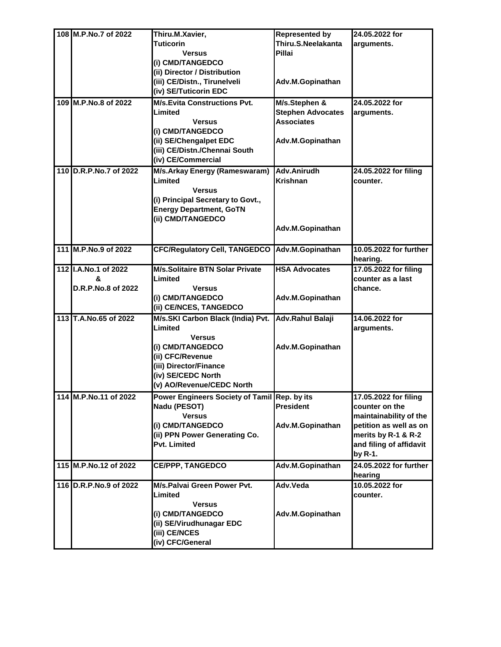| 108 M.P.No.7 of 2022    | Thiru.M.Xavier,                                                           | <b>Represented by</b>                         | 24.05.2022 for                     |
|-------------------------|---------------------------------------------------------------------------|-----------------------------------------------|------------------------------------|
|                         | <b>Tuticorin</b><br><b>Versus</b>                                         | Thiru.S.Neelakanta<br>Pillai                  | arguments.                         |
|                         | (i) CMD/TANGEDCO                                                          |                                               |                                    |
|                         | (ii) Director / Distribution<br>(iii) CE/Distn., Tirunelveli              | Adv.M.Gopinathan                              |                                    |
|                         | (iv) SE/Tuticorin EDC                                                     |                                               |                                    |
| 109 M.P.No.8 of 2022    | <b>M/s.Evita Constructions Pvt.</b>                                       | M/s.Stephen &                                 | 24.05.2022 for                     |
|                         | Limited<br><b>Versus</b>                                                  | <b>Stephen Advocates</b><br><b>Associates</b> | arguments.                         |
|                         | (i) CMD/TANGEDCO                                                          |                                               |                                    |
|                         | (ii) SE/Chengalpet EDC                                                    | Adv.M.Gopinathan                              |                                    |
|                         | (iii) CE/Distn./Chennai South                                             |                                               |                                    |
|                         | (iv) CE/Commercial                                                        |                                               |                                    |
| 110 D.R.P.No.7 of 2022  | M/s.Arkay Energy (Rameswaram)<br>Limited                                  | Adv.Anirudh<br><b>Krishnan</b>                | 24.05.2022 for filing<br>counter.  |
|                         | <b>Versus</b>                                                             |                                               |                                    |
|                         | (i) Principal Secretary to Govt.,                                         |                                               |                                    |
|                         | <b>Energy Department, GoTN</b>                                            |                                               |                                    |
|                         | (ii) CMD/TANGEDCO                                                         | Adv.M.Gopinathan                              |                                    |
|                         |                                                                           |                                               |                                    |
| 111 M.P.No.9 of 2022    | <b>CFC/Regulatory Cell, TANGEDCO</b>                                      | Adv.M.Gopinathan                              | 10.05.2022 for further<br>hearing. |
| 112 I.A.No.1 of 2022    | <b>M/s.Solitaire BTN Solar Private</b>                                    | <b>HSA Advocates</b>                          | 17.05.2022 for filing              |
| &<br>D.R.P.No.8 of 2022 | Limited<br><b>Versus</b>                                                  |                                               | counter as a last<br>chance.       |
|                         | (i) CMD/TANGEDCO                                                          | Adv.M.Gopinathan                              |                                    |
|                         | (ii) CE/NCES, TANGEDCO                                                    |                                               |                                    |
| 113 T.A.No.65 of 2022   | M/s.SKI Carbon Black (India) Pvt.                                         | Adv.Rahul Balaji                              | 14.06.2022 for                     |
|                         | Limited<br><b>Versus</b>                                                  |                                               | arguments.                         |
|                         | (i) CMD/TANGEDCO                                                          | Adv.M.Gopinathan                              |                                    |
|                         | (ii) CFC/Revenue                                                          |                                               |                                    |
|                         | (iii) Director/Finance                                                    |                                               |                                    |
|                         | (iv) SE/CEDC North                                                        |                                               |                                    |
| 114 M.P.No.11 of 2022   | (v) AO/Revenue/CEDC North<br>Power Engineers Society of Tamil Rep. by its |                                               | 17.05.2022 for filing              |
|                         | Nadu (PESOT)                                                              | <b>President</b>                              | counter on the                     |
|                         | <b>Versus</b>                                                             |                                               | maintainability of the             |
|                         | (i) CMD/TANGEDCO                                                          | Adv.M.Gopinathan                              | petition as well as on             |
|                         | (ii) PPN Power Generating Co.                                             |                                               | merits by R-1 & R-2                |
|                         | Pvt. Limited                                                              |                                               | and filing of affidavit<br>by R-1. |
| 115 M.P.No.12 of 2022   | <b>CE/PPP, TANGEDCO</b>                                                   | Adv.M.Gopinathan                              | 24.05.2022 for further             |
|                         |                                                                           |                                               | hearing                            |
| 116 D.R.P.No.9 of 2022  | M/s.Palvai Green Power Pvt.                                               | Adv.Veda                                      | 10.05.2022 for                     |
|                         | Limited<br><b>Versus</b>                                                  |                                               | counter.                           |
|                         | (i) CMD/TANGEDCO                                                          | Adv.M.Gopinathan                              |                                    |
|                         | (ii) SE/Virudhunagar EDC                                                  |                                               |                                    |
|                         | (iii) CE/NCES                                                             |                                               |                                    |
|                         | (iv) CFC/General                                                          |                                               |                                    |